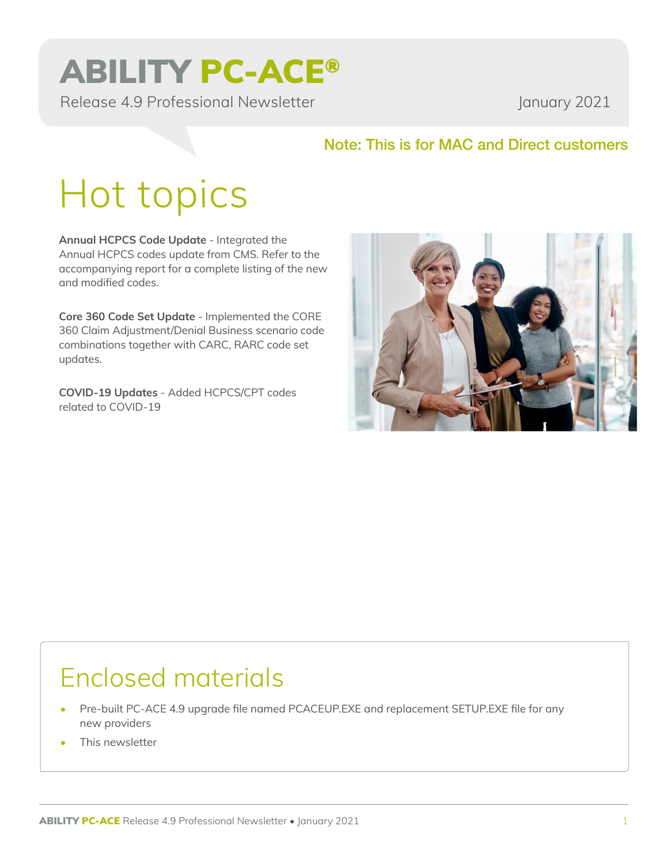## ABILITY PC-ACE®

Release 4.9 Professional Newsletter January 2021

### Note: This is for MAC and Direct customers

# Hot topics

**Annual HCPCS Code Update** - Integrated the Annual HCPCS codes update from CMS. Refer to the accompanying report for a complete listing of the new and modified codes.

**Core 360 Code Set Update** - Implemented the CORE 360 Claim Adjustment/Denial Business scenario code combinations together with CARC, RARC code set updates.

**COVID-19 Updates** - Added HCPCS/CPT codes related to COVID-19



### Enclosed materials

- Pre-built PC-ACE 4.9 upgrade file named PCACEUP.EXE and replacement SETUP.EXE file for any new providers
- This newsletter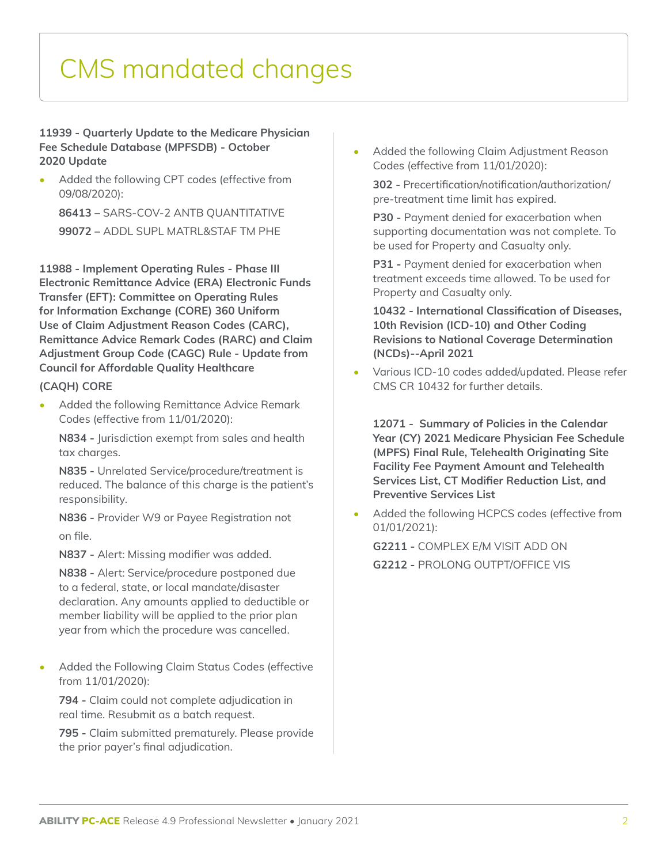### CMS mandated changes

#### **11939 - Quarterly Update to the Medicare Physician Fee Schedule Database (MPFSDB) - October 2020 Update**

Added the following CPT codes (effective from 09/08/2020):

**86413 –** SARS-COV-2 ANTB QUANTITATIVE **99072 –** ADDL SUPL MATRL&STAF TM PHE

**11988 - Implement Operating Rules - Phase III Electronic Remittance Advice (ERA) Electronic Funds Transfer (EFT): Committee on Operating Rules for Information Exchange (CORE) 360 Uniform Use of Claim Adjustment Reason Codes (CARC), Remittance Advice Remark Codes (RARC) and Claim Adjustment Group Code (CAGC) Rule - Update from Council for Affordable Quality Healthcare** 

#### **(CAQH) CORE**

• Added the following Remittance Advice Remark Codes (effective from 11/01/2020):

**N834 -** Jurisdiction exempt from sales and health tax charges.

**N835 -** Unrelated Service/procedure/treatment is reduced. The balance of this charge is the patient's responsibility.

**N836 -** Provider W9 or Payee Registration not on file.

**N837 -** Alert: Missing modifier was added.

**N838 -** Alert: Service/procedure postponed due to a federal, state, or local mandate/disaster declaration. Any amounts applied to deductible or member liability will be applied to the prior plan year from which the procedure was cancelled.

• Added the Following Claim Status Codes (effective from 11/01/2020):

**794 -** Claim could not complete adjudication in real time. Resubmit as a batch request.

**795 -** Claim submitted prematurely. Please provide the prior payer's final adjudication.

• Added the following Claim Adjustment Reason Codes (effective from 11/01/2020):

**302 -** Precertification/notification/authorization/ pre-treatment time limit has expired.

**P30 -** Payment denied for exacerbation when supporting documentation was not complete. To be used for Property and Casualty only.

**P31 - Payment denied for exacerbation when** treatment exceeds time allowed. To be used for Property and Casualty only.

**10432 - International Classification of Diseases, 10th Revision (ICD-10) and Other Coding Revisions to National Coverage Determination (NCDs)--April 2021**

• Various ICD-10 codes added/updated. Please refer CMS CR 10432 for further details.

**12071 - Summary of Policies in the Calendar Year (CY) 2021 Medicare Physician Fee Schedule (MPFS) Final Rule, Telehealth Originating Site Facility Fee Payment Amount and Telehealth Services List, CT Modifier Reduction List, and Preventive Services List**

Added the following HCPCS codes (effective from 01/01/2021):

**G2211 -** COMPLEX E/M VISIT ADD ON **G2212 -** PROLONG OUTPT/OFFICE VIS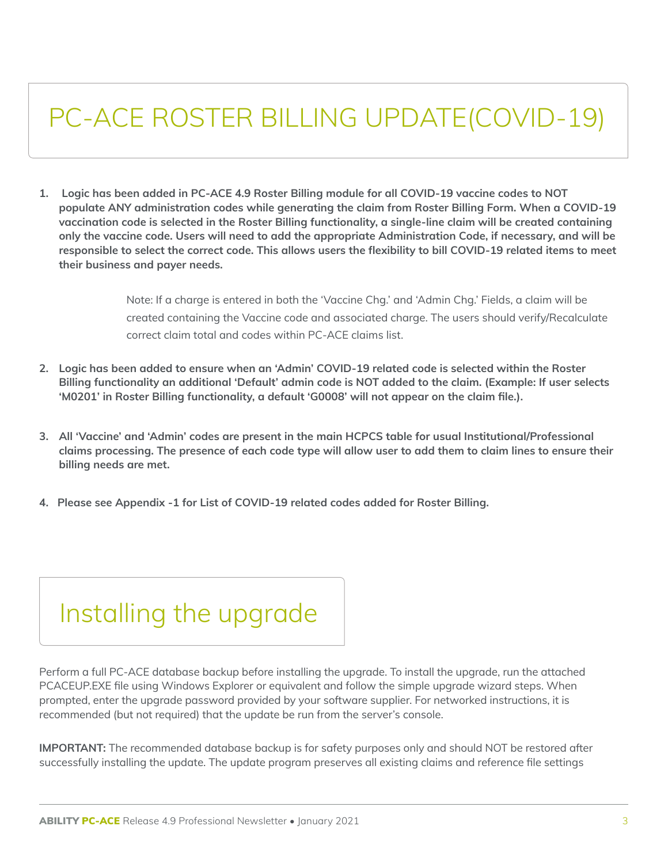### PC-ACE ROSTER BILLING UPDATE(COVID-19)

**1. Logic has been added in PC-ACE 4.9 Roster Billing module for all COVID-19 vaccine codes to NOT populate ANY administration codes while generating the claim from Roster Billing Form. When a COVID-19 vaccination code is selected in the Roster Billing functionality, a single-line claim will be created containing only the vaccine code. Users will need to add the appropriate Administration Code, if necessary, and will be responsible to select the correct code. This allows users the flexibility to bill COVID-19 related items to meet their business and payer needs.**

> Note: If a charge is entered in both the 'Vaccine Chg.' and 'Admin Chg.' Fields, a claim will be created containing the Vaccine code and associated charge. The users should verify/Recalculate correct claim total and codes within PC-ACE claims list.

- **2. Logic has been added to ensure when an 'Admin' COVID-19 related code is selected within the Roster Billing functionality an additional 'Default' admin code is NOT added to the claim. (Example: If user selects 'M0201' in Roster Billing functionality, a default 'G0008' will not appear on the claim file.).**
- **3. All 'Vaccine' and 'Admin' codes are present in the main HCPCS table for usual Institutional/Professional claims processing. The presence of each code type will allow user to add them to claim lines to ensure their billing needs are met.**
- **4. Please see Appendix -1 for List of COVID-19 related codes added for Roster Billing.**

### Installing the upgrade

Perform a full PC-ACE database backup before installing the upgrade. To install the upgrade, run the attached PCACEUP.EXE file using Windows Explorer or equivalent and follow the simple upgrade wizard steps. When prompted, enter the upgrade password provided by your software supplier. For networked instructions, it is recommended (but not required) that the update be run from the server's console.

**IMPORTANT:** The recommended database backup is for safety purposes only and should NOT be restored after successfully installing the update. The update program preserves all existing claims and reference file settings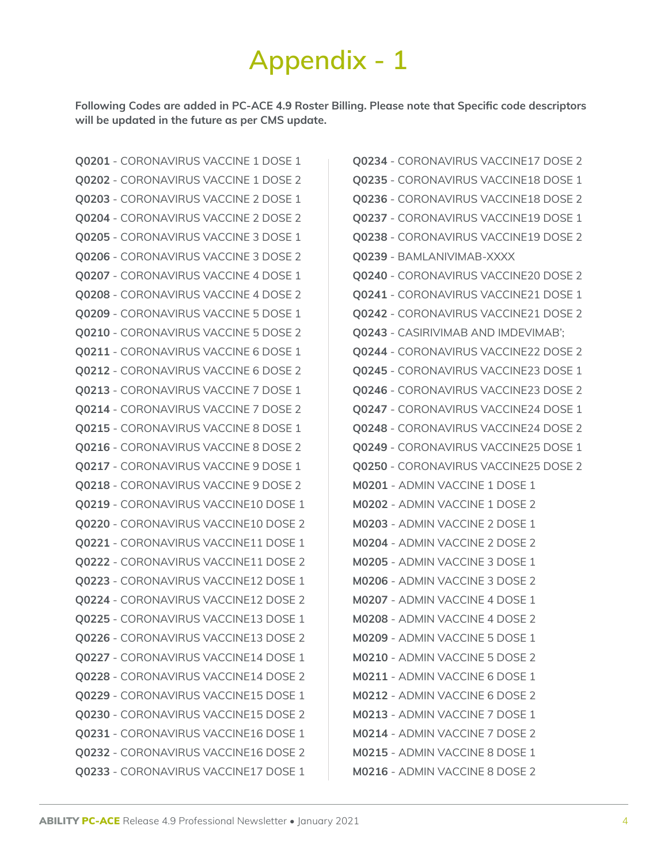### **Appendix - 1**

**Following Codes are added in PC-ACE 4.9 Roster Billing. Please note that Specific code descriptors will be updated in the future as per CMS update.**

**Q0201** - CORONAVIRUS VACCINE 1 DOSE 1 **Q0202** - CORONAVIRUS VACCINE 1 DOSE 2 **Q0203** - CORONAVIRUS VACCINE 2 DOSE 1 **Q0204** - CORONAVIRUS VACCINE 2 DOSE 2 **Q0205** - CORONAVIRUS VACCINE 3 DOSE 1 **Q0206** - CORONAVIRUS VACCINE 3 DOSE 2 **Q0207** - CORONAVIRUS VACCINE 4 DOSE 1 **Q0208** - CORONAVIRUS VACCINE 4 DOSE 2 **Q0209** - CORONAVIRUS VACCINE 5 DOSE 1 **Q0210** - CORONAVIRUS VACCINE 5 DOSE 2 **Q0211** - CORONAVIRUS VACCINE 6 DOSE 1 **Q0212** - CORONAVIRUS VACCINE 6 DOSE 2 **Q0213** - CORONAVIRUS VACCINE 7 DOSE 1 **Q0214** - CORONAVIRUS VACCINE 7 DOSE 2 **Q0215** - CORONAVIRUS VACCINE 8 DOSE 1 **Q0216** - CORONAVIRUS VACCINE 8 DOSE 2 **Q0217** - CORONAVIRUS VACCINE 9 DOSE 1 **Q0218** - CORONAVIRUS VACCINE 9 DOSE 2 **Q0219** - CORONAVIRUS VACCINE10 DOSE 1 **Q0220** - CORONAVIRUS VACCINE10 DOSE 2 **Q0221** - CORONAVIRUS VACCINE11 DOSE 1 **Q0222** - CORONAVIRUS VACCINE11 DOSE 2 **Q0223** - CORONAVIRUS VACCINE12 DOSE 1 **Q0224** - CORONAVIRUS VACCINE12 DOSE 2 **Q0225** - CORONAVIRUS VACCINE13 DOSE 1 **Q0226** - CORONAVIRUS VACCINE13 DOSE 2 **Q0227** - CORONAVIRUS VACCINE14 DOSE 1 **Q0228** - CORONAVIRUS VACCINE14 DOSE 2 **Q0229** - CORONAVIRUS VACCINE15 DOSE 1 **Q0230** - CORONAVIRUS VACCINE15 DOSE 2 **Q0231** - CORONAVIRUS VACCINE16 DOSE 1 **Q0232** - CORONAVIRUS VACCINE16 DOSE 2 **Q0233** - CORONAVIRUS VACCINE17 DOSE 1

**Q0234** - CORONAVIRUS VACCINE17 DOSE 2 **Q0235** - CORONAVIRUS VACCINE18 DOSE 1 **Q0236** - CORONAVIRUS VACCINE18 DOSE 2 **Q0237** - CORONAVIRUS VACCINE19 DOSE 1 **Q0238** - CORONAVIRUS VACCINE19 DOSE 2 **Q0239** - BAMLANIVIMAB-XXXX **Q0240** - CORONAVIRUS VACCINE20 DOSE 2 **Q0241** - CORONAVIRUS VACCINE21 DOSE 1 **Q0242** - CORONAVIRUS VACCINE21 DOSE 2 **Q0243** - CASIRIVIMAB AND IMDEVIMAB'; **Q0244** - CORONAVIRUS VACCINE22 DOSE 2 **Q0245** - CORONAVIRUS VACCINE23 DOSE 1 **Q0246** - CORONAVIRUS VACCINE23 DOSE 2 **Q0247** - CORONAVIRUS VACCINE24 DOSE 1 **Q0248** - CORONAVIRUS VACCINE24 DOSE 2 **Q0249** - CORONAVIRUS VACCINE25 DOSE 1 **Q0250** - CORONAVIRUS VACCINE25 DOSE 2 **M0201** - ADMIN VACCINE 1 DOSE 1 **M0202** - ADMIN VACCINE 1 DOSE 2 **M0203** - ADMIN VACCINE 2 DOSE 1 **M0204** - ADMIN VACCINE 2 DOSE 2 **M0205** - ADMIN VACCINE 3 DOSE 1 **M0206** - ADMIN VACCINE 3 DOSE 2 **M0207** - ADMIN VACCINE 4 DOSE 1 **M0208** - ADMIN VACCINE 4 DOSE 2 **M0209** - ADMIN VACCINE 5 DOSE 1 **M0210** - ADMIN VACCINE 5 DOSE 2 **M0211** - ADMIN VACCINE 6 DOSE 1 **M0212** - ADMIN VACCINE 6 DOSE 2 **M0213** - ADMIN VACCINE 7 DOSE 1 **M0214** - ADMIN VACCINE 7 DOSE 2 **M0215** - ADMIN VACCINE 8 DOSE 1 **M0216** - ADMIN VACCINE 8 DOSE 2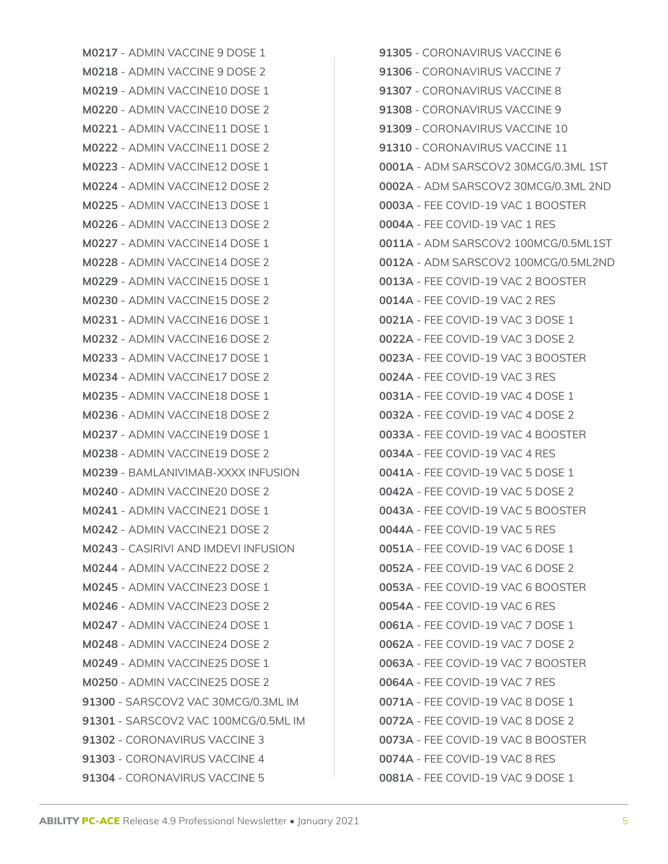**M0217** - ADMIN VACCINE 9 DOSE 1 **M0218** - ADMIN VACCINE 9 DOSE 2 **M0219** - ADMIN VACCINE10 DOSE 1 **M0220** - ADMIN VACCINE10 DOSE 2 **M0221** - ADMIN VACCINE11 DOSE 1 **M0222** - ADMIN VACCINE11 DOSE 2 **M0223** - ADMIN VACCINE12 DOSE 1 **M0224** - ADMIN VACCINE12 DOSE 2 **M0225** - ADMIN VACCINE13 DOSE 1 **M0226** - ADMIN VACCINE13 DOSE 2 **M0227** - ADMIN VACCINE14 DOSE 1 **M0228** - ADMIN VACCINE14 DOSE 2 **M0229** - ADMIN VACCINE15 DOSE 1 **M0230** - ADMIN VACCINE15 DOSE 2 **M0231** - ADMIN VACCINE16 DOSE 1 **M0232** - ADMIN VACCINE16 DOSE 2 **M0233** - ADMIN VACCINE17 DOSE 1 **M0234** - ADMIN VACCINE17 DOSE 2 **M0235** - ADMIN VACCINE18 DOSE 1 **M0236** - ADMIN VACCINE18 DOSE 2 **M0237** - ADMIN VACCINE19 DOSE 1 **M0238** - ADMIN VACCINE19 DOSE 2 **M0239** - BAMLANIVIMAB-XXXX INFUSION **M0240** - ADMIN VACCINE20 DOSE 2 **M0241** - ADMIN VACCINE21 DOSE 1 **M0242** - ADMIN VACCINE21 DOSE 2 **M0243** - CASIRIVI AND IMDEVI INFUSION **M0244** - ADMIN VACCINE22 DOSE 2 **M0245** - ADMIN VACCINE23 DOSE 1 **M0246** - ADMIN VACCINE23 DOSE 2 **M0247** - ADMIN VACCINE24 DOSE 1 **M0248** - ADMIN VACCINE24 DOSE 2 **M0249** - ADMIN VACCINE25 DOSE 1 **M0250** - ADMIN VACCINE25 DOSE 2 **91300** - SARSCOV2 VAC 30MCG/0.3ML IM **91301** - SARSCOV2 VAC 100MCG/0.5ML IM **91302** - CORONAVIRUS VACCINE 3 **91303** - CORONAVIRUS VACCINE 4 **91304** - CORONAVIRUS VACCINE 5

**91305** - CORONAVIRUS VACCINE 6 **91306** - CORONAVIRUS VACCINE 7 **91307** - CORONAVIRUS VACCINE 8 **91308** - CORONAVIRUS VACCINE 9 **91309** - CORONAVIRUS VACCINE 10 **91310** - CORONAVIRUS VACCINE 11 **0001A** - ADM SARSCOV2 30MCG/0.3ML 1ST **0002A** - ADM SARSCOV2 30MCG/0.3ML 2ND **0003A** - FEE COVID-19 VAC 1 BOOSTER **0004A** - FEE COVID-19 VAC 1 RES **0011A** - ADM SARSCOV2 100MCG/0.5ML1ST **0012A** - ADM SARSCOV2 100MCG/0.5ML2ND **0013A** - FEE COVID-19 VAC 2 BOOSTER **0014A** - FEE COVID-19 VAC 2 RES **0021A** - FEE COVID-19 VAC 3 DOSE 1 **0022A** - FEE COVID-19 VAC 3 DOSE 2 **0023A** - FEE COVID-19 VAC 3 BOOSTER **0024A** - FEE COVID-19 VAC 3 RES **0031A** - FEE COVID-19 VAC 4 DOSE 1 **0032A** - FEE COVID-19 VAC 4 DOSE 2 **0033A** - FEE COVID-19 VAC 4 BOOSTER **0034A** - FEE COVID-19 VAC 4 RES **0041A** - FEE COVID-19 VAC 5 DOSE 1 **0042A** - FEE COVID-19 VAC 5 DOSE 2 **0043A** - FEE COVID-19 VAC 5 BOOSTER **0044A** - FEE COVID-19 VAC 5 RES **0051A** - FEE COVID-19 VAC 6 DOSE 1 **0052A** - FEE COVID-19 VAC 6 DOSE 2 **0053A** - FEE COVID-19 VAC 6 BOOSTER **0054A** - FEE COVID-19 VAC 6 RES **0061A** - FEE COVID-19 VAC 7 DOSE 1 **0062A** - FEE COVID-19 VAC 7 DOSE 2 **0063A** - FEE COVID-19 VAC 7 BOOSTER **0064A** - FEE COVID-19 VAC 7 RES **0071A** - FEE COVID-19 VAC 8 DOSE 1 **0072A** - FEE COVID-19 VAC 8 DOSE 2 **0073A** - FEE COVID-19 VAC 8 BOOSTER **0074A** - FEE COVID-19 VAC 8 RES **0081A** - FEE COVID-19 VAC 9 DOSE 1